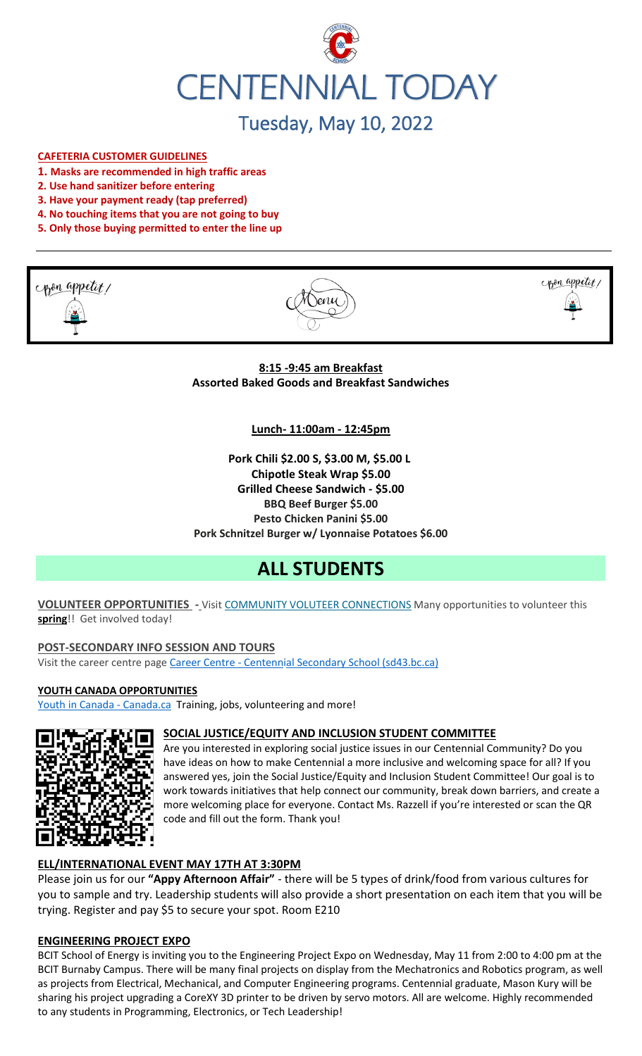

# Tuesday, May 10, 2022

#### **CAFETERIA CUSTOMER GUIDELINES**

- **1. Masks are recommended in high traffic areas**
- **2. Use hand sanitizer before entering**
- **3. Have your payment ready (tap preferred)**
- **4. No touching items that you are not going to buy**
- **5. Only those buying permitted to enter the line up**







**8:15 -9:45 am Breakfast Assorted Baked Goods and Breakfast Sandwiches**

#### **Lunch- 11:00am - 12:45pm**

**Pork Chili \$2.00 S, \$3.00 M, \$5.00 L Chipotle Steak Wrap \$5.00 Grilled Cheese Sandwich - \$5.00 BBQ Beef Burger \$5.00 Pesto Chicken Panini \$5.00 Pork Schnitzel Burger w/ Lyonnaise Potatoes \$6.00**

## **ALL STUDENTS**

**VOLUNTEER OPPORTUNITIES -** Visit COMMUNITY VOLUTEER CONNECTIONS Many opportunities to volunteer this **spring**!! Get involved today!

#### **POST-SECONDARY INFO SESSION AND TOURS**

Visit the career centre page Career Centre - Centennial Secondary School (sd43.bc.ca)

#### **YOUTH CANADA OPPORTUNITIES**

Youth in Canada - Canada.ca Training, jobs, volunteering and more!



#### **SOCIAL JUSTICE/EQUITY AND INCLUSION STUDENT COMMITTEE**

Are you interested in exploring social justice issues in our Centennial Community? Do you have ideas on how to make Centennial a more inclusive and welcoming space for all? If you answered yes, join the Social Justice/Equity and Inclusion Student Committee! Our goal is to work towards initiatives that help connect our community, break down barriers, and create a more welcoming place for everyone. Contact Ms. Razzell if you're interested or scan the QR code and fill out the form. Thank you!

## **ELL/INTERNATIONAL EVENT MAY 17TH AT 3:30PM**

Please join us for our **"Appy Afternoon Affair"** - there will be 5 types of drink/food from various cultures for you to sample and try. Leadership students will also provide a short presentation on each item that you will be trying. Register and pay \$5 to secure your spot. Room E210

#### **ENGINEERING PROJECT EXPO**

BCIT School of Energy is inviting you to the Engineering Project Expo on Wednesday, May 11 from 2:00 to 4:00 pm at the BCIT Burnaby Campus. There will be many final projects on display from the Mechatronics and Robotics program, as well as projects from Electrical, Mechanical, and Computer Engineering programs. Centennial graduate, Mason Kury will be sharing his project upgrading a CoreXY 3D printer to be driven by servo motors. All are welcome. Highly recommended to any students in Programming, Electronics, or Tech Leadership!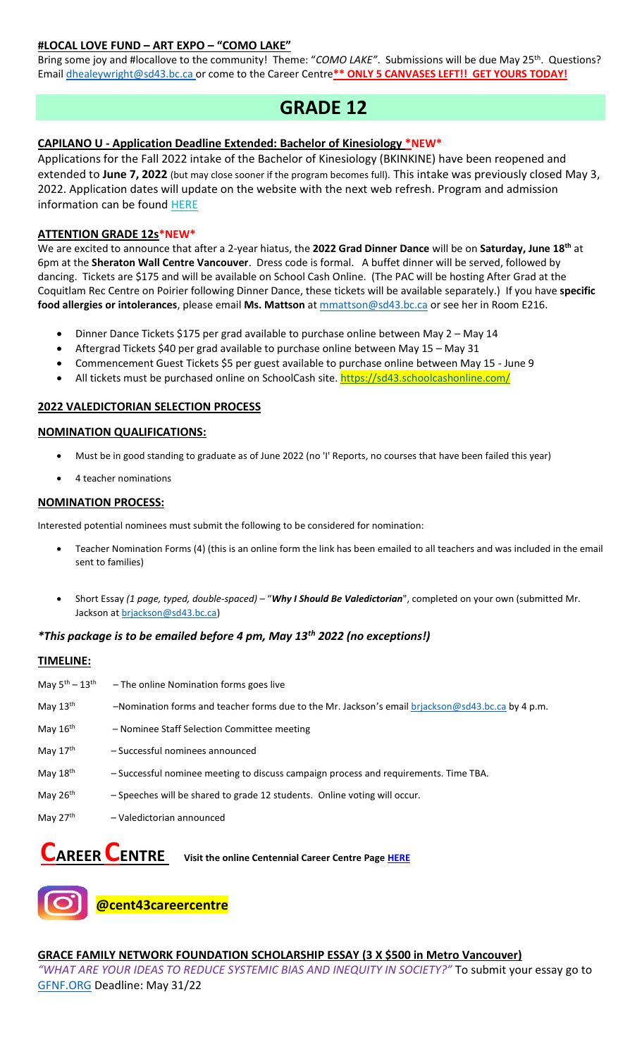## **#LOCAL LOVE FUND – ART EXPO – "COMO LAKE"**

Bring some joy and #locallove to the community! Theme: "COMO LAKE". Submissions will be due May 25<sup>th</sup>. Questions? Email [dhealeywright@sd43.bc.ca](mailto:dhealeywright@sd43.bc.ca) or come to the Career Centre**\*\* ONLY 5 CANVASES LEFT!! GET YOURS TODAY!**

## **GRADE 12**

## **CAPILANO U - Application Deadline Extended: Bachelor of Kinesiology \*NEW\***

Applications for the Fall 2022 intake of the Bachelor of Kinesiology (BKINKINE) have been reopened and extended to **June 7, 2022** (but may close sooner if the program becomes full). This intake was previously closed May 3, 2022. Application dates will update on the website with the next web refresh. Program and admission information can be found [HERE](https://r20.rs6.net/tn.jsp?f=001SUzFX9y6x_DZ8u1ILhrZoR561QI7ko-glqLZ3NGKEFYDiPkHhwaQO5hadoW4JFVrApBljFLx0BCplok2Va4m_w32cW5s6kD5qv8NykZgy9Zo72NK3zwzReaGpUNNGz3GRbVeQAJCqhUivMUWEW1rI3-OAq6I8DoKzJOqbnBGczpT3WvMJ8WdqqH5YzRx_ltcjN6YI1_AoMBQ78y5WnWPt6b6a38aSrIOtAeTudxClJQPgYbTky18V93Bm4ygG_m5VH6MYk12RIgavzLTCSojuA==&c=3pWigr51xerjgpsJQfV7gCmLcs4LPkC7OicqYYgjmVJbku7DyMgbQA==&ch=xtJxjTAWGbsUBfCzEiIL8P3QkU5CEUWkteH7aJ3afKtmbmqCWhD_Rg==)

#### **ATTENTION GRADE 12s\*NEW\***

We are excited to announce that after a 2-year hiatus, the **2022 Grad Dinner Dance** will be on **Saturday, June 18th** at 6pm at the **Sheraton Wall Centre Vancouver**. Dress code is formal. A buffet dinner will be served, followed by dancing. Tickets are \$175 and will be available on School Cash Online. (The PAC will be hosting After Grad at the Coquitlam Rec Centre on Poirier following Dinner Dance, these tickets will be available separately.) If you have **specific food allergies or intolerances**, please email **Ms. Mattson** at [mmattson@sd43.bc.ca](mailto:mmattson@sd43.bc.ca) or see her in Room E216.

- Dinner Dance Tickets \$175 per grad available to purchase online between May 2 May 14
- Aftergrad Tickets \$40 per grad available to purchase online between May 15 May 31
- Commencement Guest Tickets \$5 per guest available to purchase online between May 15 June 9
- All tickets must be purchased online on SchoolCash site. <https://sd43.schoolcashonline.com/>

## **2022 VALEDICTORIAN SELECTION PROCESS**

#### **NOMINATION QUALIFICATIONS:**

- Must be in good standing to graduate as of June 2022 (no 'I' Reports, no courses that have been failed this year)
- 4 teacher nominations

#### **NOMINATION PROCESS:**

Interested potential nominees must submit the following to be considered for nomination:

- Teacher Nomination Forms (4) (this is an online form the link has been emailed to all teachers and was included in the email sent to families)
- Short Essay *(1 page, typed, double-spaced)* "*Why I Should Be Valedictorian*", completed on your own (submitted Mr. Jackson at [brjackson@sd43.bc.ca\)](mailto:bking@sd43.bc.ca)

## *\*This package is to be emailed before 4 pm, May 13th 2022 (no exceptions!)*

#### **TIMELINE:**

| May $5^{\text{th}} - 13^{\text{th}}$ | - The online Nomination forms goes live                                                           |
|--------------------------------------|---------------------------------------------------------------------------------------------------|
| May 13 <sup>th</sup>                 | -Nomination forms and teacher forms due to the Mr. Jackson's email brjackson@sd43.bc.ca by 4 p.m. |
| May 16 <sup>th</sup>                 | - Nominee Staff Selection Committee meeting                                                       |
| May 17 <sup>th</sup>                 | - Successful nominees announced                                                                   |
| May 18 <sup>th</sup>                 | - Successful nominee meeting to discuss campaign process and requirements. Time TBA.              |
| May 26 <sup>th</sup>                 | - Speeches will be shared to grade 12 students. Online voting will occur.                         |
| May 27 <sup>th</sup>                 | - Valedictorian announced                                                                         |

**CAREER CENTRE Visit the online Centennial Career Centre Pag[e HERE](https://www.sd43.bc.ca/school/centennial/ProgramsServices/CareerCentre/experiences/Pages/default.aspx#/=)**



**@cent43careercentre** 

**GRACE FAMILY NETWORK FOUNDATION SCHOLARSHIP ESSAY (3 X \$500 in Metro Vancouver)** *"WHAT ARE YOUR IDEAS TO REDUCE SYSTEMIC BIAS AND INEQUITY IN SOCIETY?"* To submit your essay go to [GFNF.ORG](http://www.gfnf.org/) Deadline: May 31/22